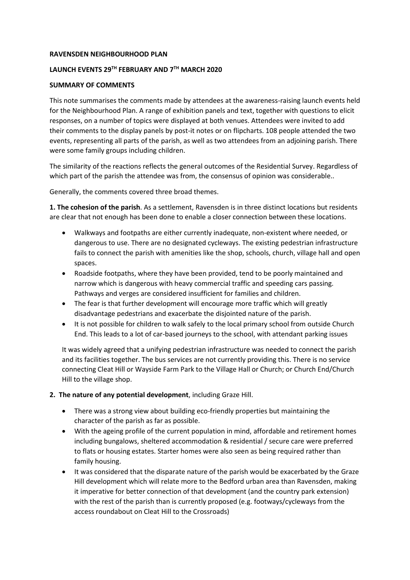## **RAVENSDEN NEIGHBOURHOOD PLAN**

## **LAUNCH EVENTS 29TH FEBRUARY AND 7TH MARCH 2020**

## **SUMMARY OF COMMENTS**

This note summarises the comments made by attendees at the awareness-raising launch events held for the Neighbourhood Plan. A range of exhibition panels and text, together with questions to elicit responses, on a number of topics were displayed at both venues. Attendees were invited to add their comments to the display panels by post-it notes or on flipcharts. 108 people attended the two events, representing all parts of the parish, as well as two attendees from an adjoining parish. There were some family groups including children.

The similarity of the reactions reflects the general outcomes of the Residential Survey. Regardless of which part of the parish the attendee was from, the consensus of opinion was considerable..

Generally, the comments covered three broad themes.

**1. The cohesion of the parish**. As a settlement, Ravensden is in three distinct locations but residents are clear that not enough has been done to enable a closer connection between these locations.

- Walkways and footpaths are either currently inadequate, non-existent where needed, or dangerous to use. There are no designated cycleways. The existing pedestrian infrastructure fails to connect the parish with amenities like the shop, schools, church, village hall and open spaces.
- Roadside footpaths, where they have been provided, tend to be poorly maintained and narrow which is dangerous with heavy commercial traffic and speeding cars passing. Pathways and verges are considered insufficient for families and children.
- The fear is that further development will encourage more traffic which will greatly disadvantage pedestrians and exacerbate the disjointed nature of the parish.
- It is not possible for children to walk safely to the local primary school from outside Church End. This leads to a lot of car-based journeys to the school, with attendant parking issues

It was widely agreed that a unifying pedestrian infrastructure was needed to connect the parish and its facilities together. The bus services are not currently providing this. There is no service connecting Cleat Hill or Wayside Farm Park to the Village Hall or Church; or Church End/Church Hill to the village shop.

- **2. The nature of any potential development**, including Graze Hill.
	- There was a strong view about building eco-friendly properties but maintaining the character of the parish as far as possible.
	- With the ageing profile of the current population in mind, affordable and retirement homes including bungalows, sheltered accommodation & residential / secure care were preferred to flats or housing estates. Starter homes were also seen as being required rather than family housing.
	- It was considered that the disparate nature of the parish would be exacerbated by the Graze Hill development which will relate more to the Bedford urban area than Ravensden, making it imperative for better connection of that development (and the country park extension) with the rest of the parish than is currently proposed (e.g. footways/cycleways from the access roundabout on Cleat Hill to the Crossroads)